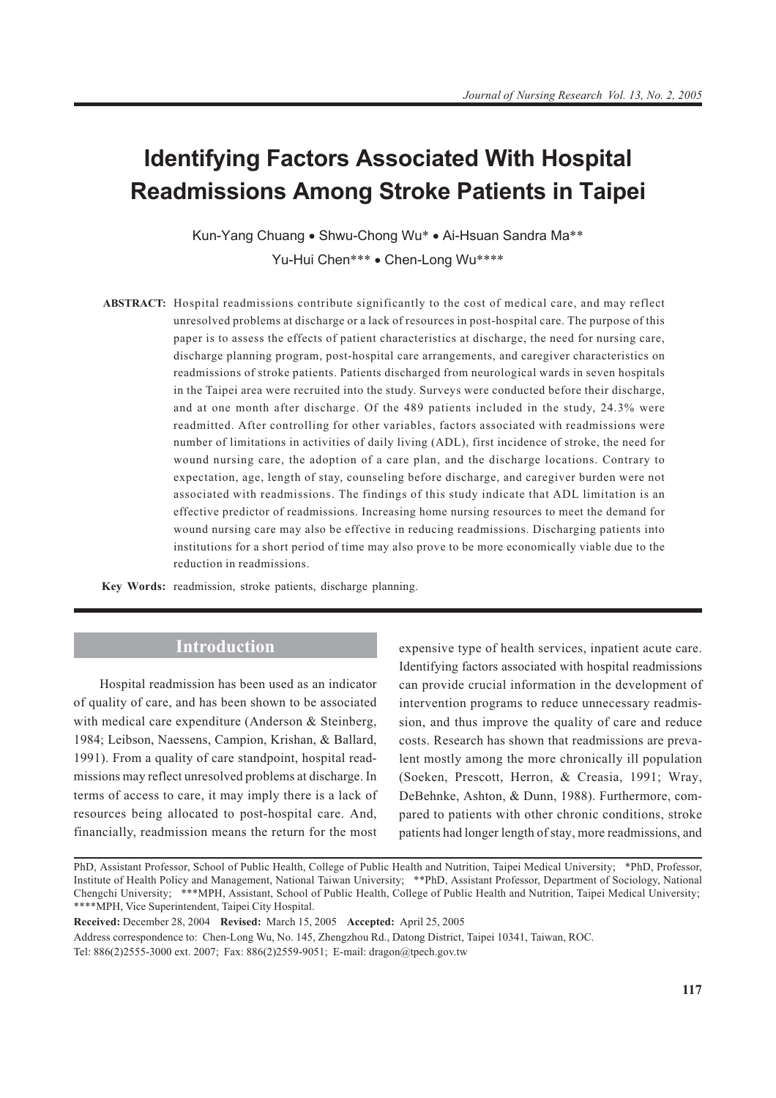# **Identifying Factors Associated With Hospital Readmissions Among Stroke Patients in Taipei**

Kun-Yang Chuang • Shwu-Chong Wu\* • Ai-Hsuan Sandra Ma\*\* Yu-Hui Chen\*\*\* • Chen-Long Wu\*\*\*\*

**ABSTRACT:** Hospital readmissions contribute significantly to the cost of medical care, and may reflect unresolved problems at discharge or a lack of resources in post-hospital care. The purpose of this paper is to assess the effects of patient characteristics at discharge, the need for nursing care, discharge planning program, post-hospital care arrangements, and caregiver characteristics on readmissions of stroke patients. Patients discharged from neurological wards in seven hospitals in the Taipei area were recruited into the study. Surveys were conducted before their discharge, and at one month after discharge. Of the 489 patients included in the study, 24.3% were readmitted. After controlling for other variables, factors associated with readmissions were number of limitations in activities of daily living (ADL), first incidence of stroke, the need for wound nursing care, the adoption of a care plan, and the discharge locations. Contrary to expectation, age, length of stay, counseling before discharge, and caregiver burden were not associated with readmissions. The findings of this study indicate that ADL limitation is an effective predictor of readmissions. Increasing home nursing resources to meet the demand for wound nursing care may also be effective in reducing readmissions. Discharging patients into institutions for a short period of time may also prove to be more economically viable due to the reduction in readmissions.

**Key Words:** readmission, stroke patients, discharge planning.

# **Introduction**

Hospital readmission has been used as an indicator of quality of care, and has been shown to be associated with medical care expenditure (Anderson & Steinberg, 1984; Leibson, Naessens, Campion, Krishan, & Ballard, 1991). From a quality of care standpoint, hospital readmissions may reflect unresolved problems at discharge. In terms of access to care, it may imply there is a lack of resources being allocated to post-hospital care. And, financially, readmission means the return for the most

expensive type of health services, inpatient acute care. Identifying factors associated with hospital readmissions can provide crucial information in the development of intervention programs to reduce unnecessary readmission, and thus improve the quality of care and reduce costs. Research has shown that readmissions are prevalent mostly among the more chronically ill population (Soeken, Prescott, Herron, & Creasia, 1991; Wray, DeBehnke, Ashton, & Dunn, 1988). Furthermore, compared to patients with other chronic conditions, stroke patients had longer length of stay, more readmissions, and

PhD, Assistant Professor, School of Public Health, College of Public Health and Nutrition, Taipei Medical University; \*PhD, Professor, Institute of Health Policy and Management, National Taiwan University; \*\*PhD, Assistant Professor, Department of Sociology, National Chengchi University; \*\*\*MPH, Assistant, School of Public Health, College of Public Health and Nutrition, Taipei Medical University; \*\*\*\*MPH, Vice Superintendent, Taipei City Hospital.

**Received:** December 28, 2004 **Revised:** March 15, 2005 **Accepted:** April 25, 2005

Address correspondence to: Chen-Long Wu, No. 145, Zhengzhou Rd., Datong District, Taipei 10341, Taiwan, ROC. Tel: 886(2)2555-3000 ext. 2007; Fax: 886(2)2559-9051; E-mail: dragon@tpech.gov.tw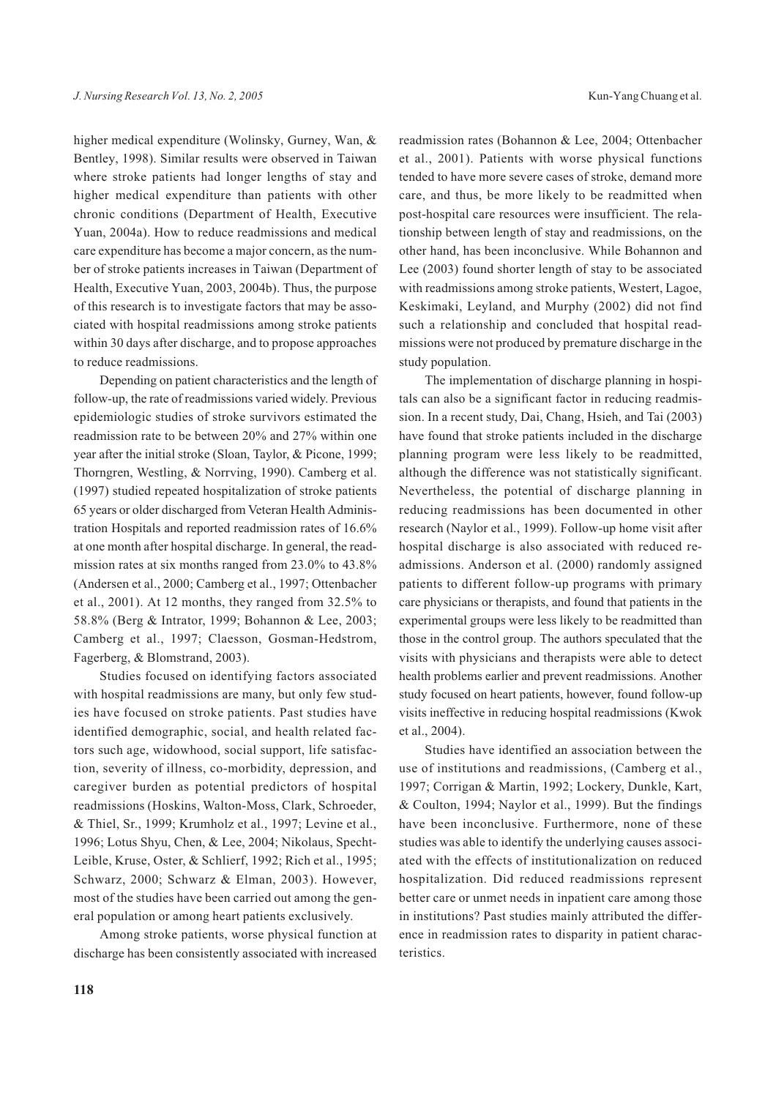higher medical expenditure (Wolinsky, Gurney, Wan, & Bentley, 1998). Similar results were observed in Taiwan where stroke patients had longer lengths of stay and higher medical expenditure than patients with other chronic conditions (Department of Health, Executive Yuan, 2004a). How to reduce readmissions and medical care expenditure has become a major concern, as the number of stroke patients increases in Taiwan (Department of Health, Executive Yuan, 2003, 2004b). Thus, the purpose of this research is to investigate factors that may be associated with hospital readmissions among stroke patients within 30 days after discharge, and to propose approaches to reduce readmissions.

Depending on patient characteristics and the length of follow-up, the rate of readmissions varied widely. Previous epidemiologic studies of stroke survivors estimated the readmission rate to be between 20% and 27% within one year after the initial stroke (Sloan, Taylor, & Picone, 1999; Thorngren, Westling, & Norrving, 1990). Camberg et al. (1997) studied repeated hospitalization of stroke patients 65 years or older discharged from Veteran Health Administration Hospitals and reported readmission rates of 16.6% at one month after hospital discharge. In general, the readmission rates at six months ranged from 23.0% to 43.8% (Andersen et al., 2000; Camberg et al., 1997; Ottenbacher et al., 2001). At 12 months, they ranged from 32.5% to 58.8% (Berg & Intrator, 1999; Bohannon & Lee, 2003; Camberg et al., 1997; Claesson, Gosman-Hedstrom, Fagerberg, & Blomstrand, 2003).

Studies focused on identifying factors associated with hospital readmissions are many, but only few studies have focused on stroke patients. Past studies have identified demographic, social, and health related factors such age, widowhood, social support, life satisfaction, severity of illness, co-morbidity, depression, and caregiver burden as potential predictors of hospital readmissions (Hoskins, Walton-Moss, Clark, Schroeder, & Thiel, Sr., 1999; Krumholz et al., 1997; Levine et al., 1996; Lotus Shyu, Chen, & Lee, 2004; Nikolaus, Specht-Leible, Kruse, Oster, & Schlierf, 1992; Rich et al., 1995; Schwarz, 2000; Schwarz & Elman, 2003). However, most of the studies have been carried out among the general population or among heart patients exclusively.

Among stroke patients, worse physical function at discharge has been consistently associated with increased readmission rates (Bohannon & Lee, 2004; Ottenbacher et al., 2001). Patients with worse physical functions tended to have more severe cases of stroke, demand more care, and thus, be more likely to be readmitted when post-hospital care resources were insufficient. The relationship between length of stay and readmissions, on the other hand, has been inconclusive. While Bohannon and Lee (2003) found shorter length of stay to be associated with readmissions among stroke patients, Westert, Lagoe, Keskimaki, Leyland, and Murphy (2002) did not find such a relationship and concluded that hospital readmissions were not produced by premature discharge in the study population.

The implementation of discharge planning in hospitals can also be a significant factor in reducing readmission. In a recent study, Dai, Chang, Hsieh, and Tai (2003) have found that stroke patients included in the discharge planning program were less likely to be readmitted, although the difference was not statistically significant. Nevertheless, the potential of discharge planning in reducing readmissions has been documented in other research (Naylor et al., 1999). Follow-up home visit after hospital discharge is also associated with reduced readmissions. Anderson et al. (2000) randomly assigned patients to different follow-up programs with primary care physicians or therapists, and found that patients in the experimental groups were less likely to be readmitted than those in the control group. The authors speculated that the visits with physicians and therapists were able to detect health problems earlier and prevent readmissions. Another study focused on heart patients, however, found follow-up visits ineffective in reducing hospital readmissions (Kwok et al., 2004).

Studies have identified an association between the use of institutions and readmissions, (Camberg et al., 1997; Corrigan & Martin, 1992; Lockery, Dunkle, Kart, & Coulton, 1994; Naylor et al., 1999). But the findings have been inconclusive. Furthermore, none of these studies was able to identify the underlying causes associated with the effects of institutionalization on reduced hospitalization. Did reduced readmissions represent better care or unmet needs in inpatient care among those in institutions? Past studies mainly attributed the difference in readmission rates to disparity in patient characteristics.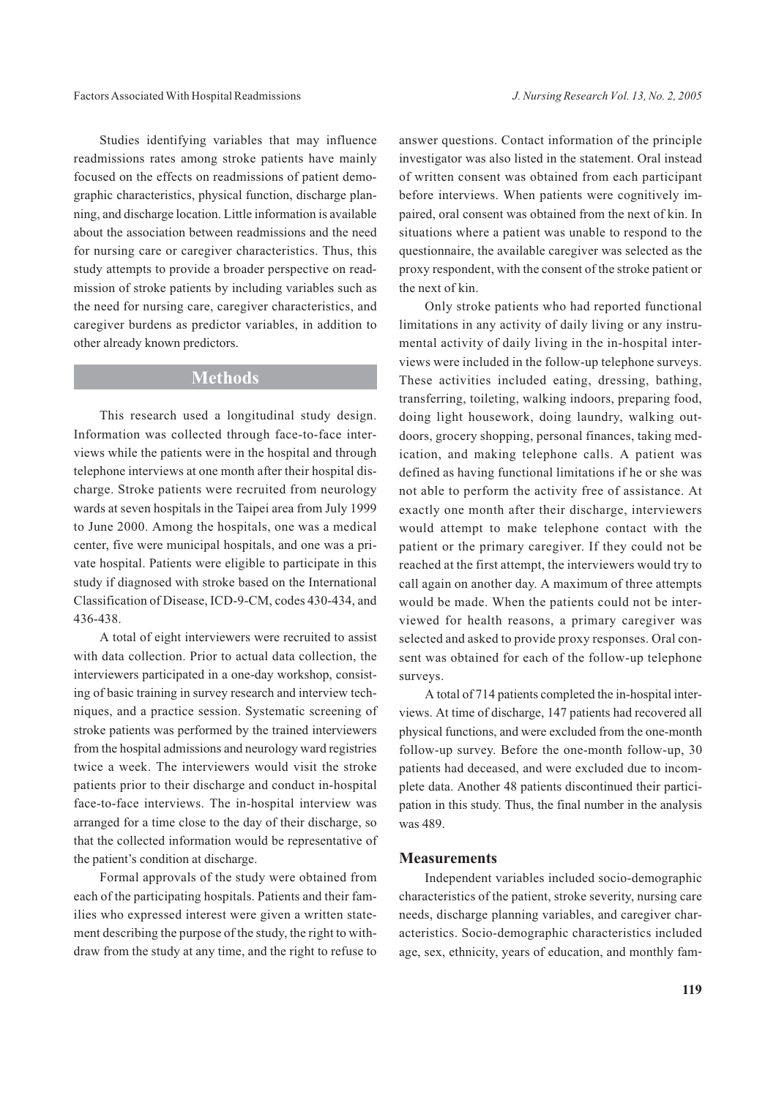Studies identifying variables that may influence readmissions rates among stroke patients have mainly focused on the effects on readmissions of patient demographic characteristics, physical function, discharge planning, and discharge location. Little information is available about the association between readmissions and the need for nursing care or caregiver characteristics. Thus, this study attempts to provide a broader perspective on readmission of stroke patients by including variables such as the need for nursing care, caregiver characteristics, and caregiver burdens as predictor variables, in addition to other already known predictors.

## **Methods**

This research used a longitudinal study design. Information was collected through face-to-face interviews while the patients were in the hospital and through telephone interviews at one month after their hospital discharge. Stroke patients were recruited from neurology wards at seven hospitals in the Taipei area from July 1999 to June 2000. Among the hospitals, one was a medical center, five were municipal hospitals, and one was a private hospital. Patients were eligible to participate in this study if diagnosed with stroke based on the International Classification of Disease, ICD-9-CM, codes 430-434, and 436-438.

A total of eight interviewers were recruited to assist with data collection. Prior to actual data collection, the interviewers participated in a one-day workshop, consisting of basic training in survey research and interview techniques, and a practice session. Systematic screening of stroke patients was performed by the trained interviewers from the hospital admissions and neurology ward registries twice a week. The interviewers would visit the stroke patients prior to their discharge and conduct in-hospital face-to-face interviews. The in-hospital interview was arranged for a time close to the day of their discharge, so that the collected information would be representative of the patient's condition at discharge.

Formal approvals of the study were obtained from each of the participating hospitals. Patients and their families who expressed interest were given a written statement describing the purpose of the study, the right to withdraw from the study at any time, and the right to refuse to answer questions. Contact information of the principle investigator was also listed in the statement. Oral instead of written consent was obtained from each participant before interviews. When patients were cognitively impaired, oral consent was obtained from the next of kin. In situations where a patient was unable to respond to the questionnaire, the available caregiver was selected as the proxy respondent, with the consent of the stroke patient or the next of kin.

Only stroke patients who had reported functional limitations in any activity of daily living or any instrumental activity of daily living in the in-hospital interviews were included in the follow-up telephone surveys. These activities included eating, dressing, bathing, transferring, toileting, walking indoors, preparing food, doing light housework, doing laundry, walking outdoors, grocery shopping, personal finances, taking medication, and making telephone calls. A patient was defined as having functional limitations if he or she was not able to perform the activity free of assistance. At exactly one month after their discharge, interviewers would attempt to make telephone contact with the patient or the primary caregiver. If they could not be reached at the first attempt, the interviewers would try to call again on another day. A maximum of three attempts would be made. When the patients could not be interviewed for health reasons, a primary caregiver was selected and asked to provide proxy responses. Oral consent was obtained for each of the follow-up telephone surveys.

A total of 714 patients completed the in-hospital interviews. At time of discharge, 147 patients had recovered all physical functions, and were excluded from the one-month follow-up survey. Before the one-month follow-up, 30 patients had deceased, and were excluded due to incomplete data. Another 48 patients discontinued their participation in this study. Thus, the final number in the analysis was 489.

#### **Measurements**

Independent variables included socio-demographic characteristics of the patient, stroke severity, nursing care needs, discharge planning variables, and caregiver characteristics. Socio-demographic characteristics included age, sex, ethnicity, years of education, and monthly fam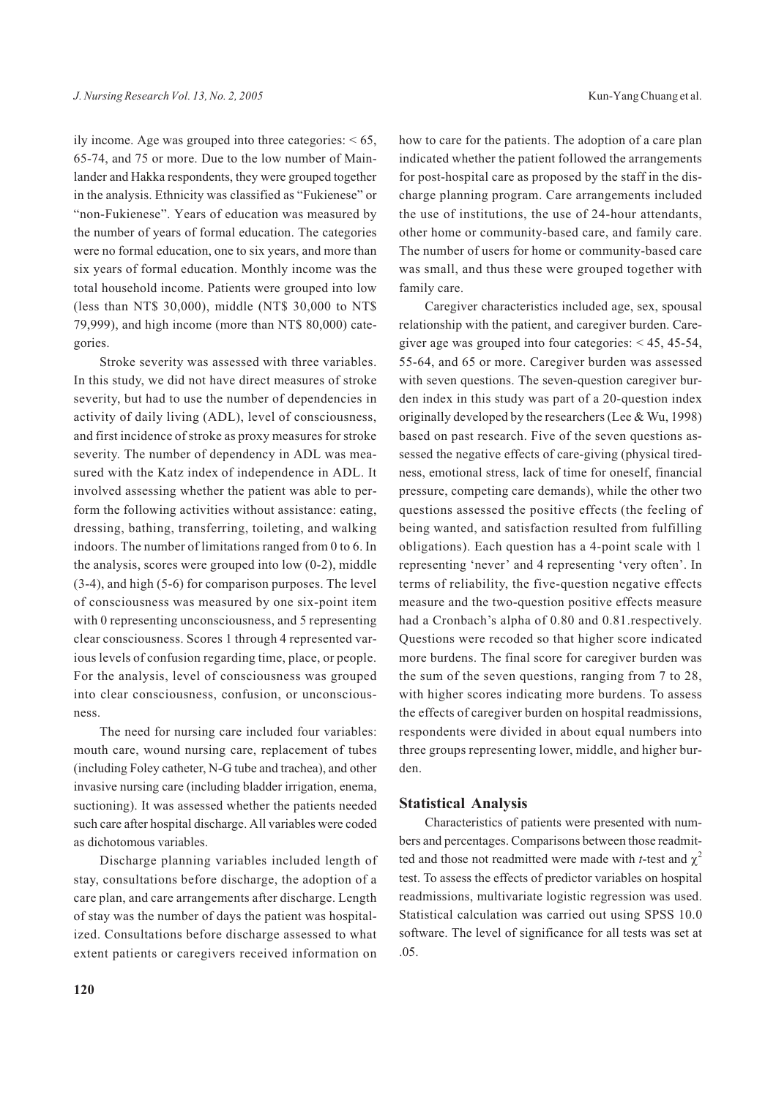ily income. Age was grouped into three categories: < 65, 65-74, and 75 or more. Due to the low number of Mainlander and Hakka respondents, they were grouped together in the analysis. Ethnicity was classified as "Fukienese" or "non-Fukienese". Years of education was measured by the number of years of formal education. The categories were no formal education, one to six years, and more than six years of formal education. Monthly income was the total household income. Patients were grouped into low (less than NT\$ 30,000), middle (NT\$ 30,000 to NT\$ 79,999), and high income (more than NT\$ 80,000) categories.

Stroke severity was assessed with three variables. In this study, we did not have direct measures of stroke severity, but had to use the number of dependencies in activity of daily living (ADL), level of consciousness, and first incidence of stroke as proxy measures for stroke severity. The number of dependency in ADL was measured with the Katz index of independence in ADL. It involved assessing whether the patient was able to perform the following activities without assistance: eating, dressing, bathing, transferring, toileting, and walking indoors. The number of limitations ranged from 0 to 6. In the analysis, scores were grouped into low (0-2), middle (3-4), and high (5-6) for comparison purposes. The level of consciousness was measured by one six-point item with 0 representing unconsciousness, and 5 representing clear consciousness. Scores 1 through 4 represented various levels of confusion regarding time, place, or people. For the analysis, level of consciousness was grouped into clear consciousness, confusion, or unconsciousness.

The need for nursing care included four variables: mouth care, wound nursing care, replacement of tubes (including Foley catheter, N-G tube and trachea), and other invasive nursing care (including bladder irrigation, enema, suctioning). It was assessed whether the patients needed such care after hospital discharge. All variables were coded as dichotomous variables.

Discharge planning variables included length of stay, consultations before discharge, the adoption of a care plan, and care arrangements after discharge. Length of stay was the number of days the patient was hospitalized. Consultations before discharge assessed to what extent patients or caregivers received information on

how to care for the patients. The adoption of a care plan indicated whether the patient followed the arrangements for post-hospital care as proposed by the staff in the discharge planning program. Care arrangements included the use of institutions, the use of 24-hour attendants, other home or community-based care, and family care. The number of users for home or community-based care was small, and thus these were grouped together with family care.

Caregiver characteristics included age, sex, spousal relationship with the patient, and caregiver burden. Caregiver age was grouped into four categories: < 45, 45-54, 55-64, and 65 or more. Caregiver burden was assessed with seven questions. The seven-question caregiver burden index in this study was part of a 20-question index originally developed by the researchers (Lee & Wu, 1998) based on past research. Five of the seven questions assessed the negative effects of care-giving (physical tiredness, emotional stress, lack of time for oneself, financial pressure, competing care demands), while the other two questions assessed the positive effects (the feeling of being wanted, and satisfaction resulted from fulfilling obligations). Each question has a 4-point scale with 1 representing 'never' and 4 representing 'very often'. In terms of reliability, the five-question negative effects measure and the two-question positive effects measure had a Cronbach's alpha of 0.80 and 0.81.respectively. Questions were recoded so that higher score indicated more burdens. The final score for caregiver burden was the sum of the seven questions, ranging from 7 to 28, with higher scores indicating more burdens. To assess the effects of caregiver burden on hospital readmissions, respondents were divided in about equal numbers into three groups representing lower, middle, and higher burden.

## **Statistical Analysis**

Characteristics of patients were presented with numbers and percentages. Comparisons between those readmitted and those not readmitted were made with *t*-test and  $\chi^2$ test. To assess the effects of predictor variables on hospital readmissions, multivariate logistic regression was used. Statistical calculation was carried out using SPSS 10.0 software. The level of significance for all tests was set at .05.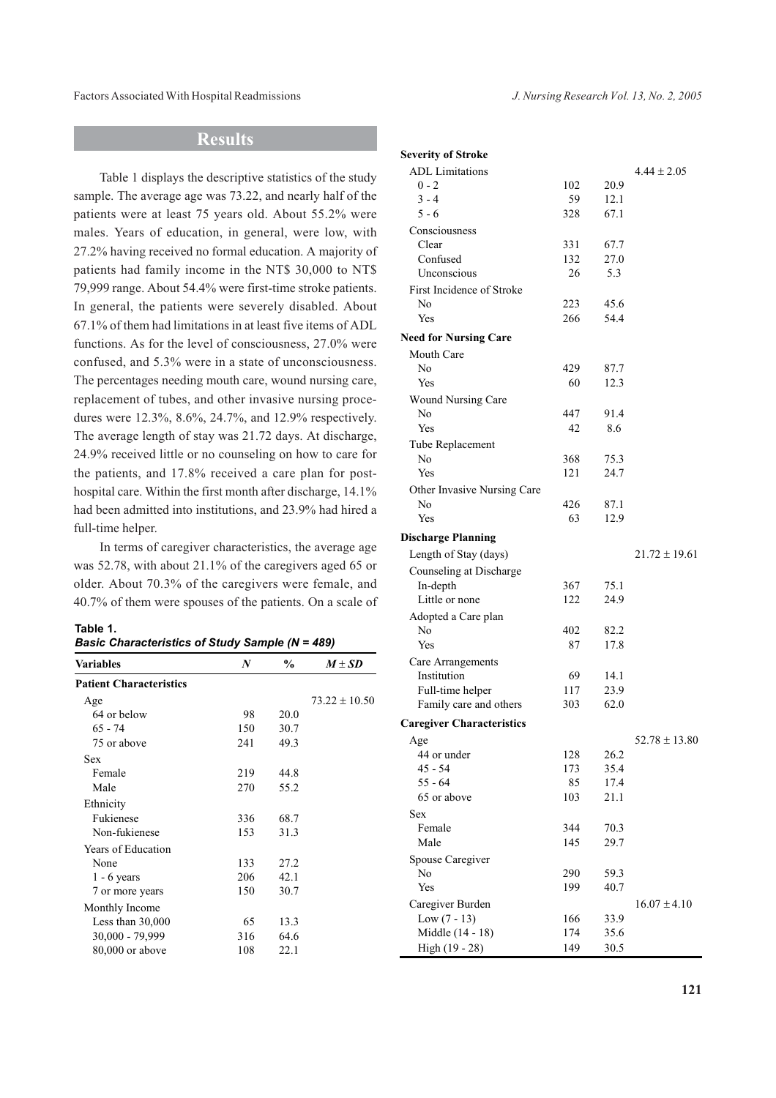Factors AssociatedWith Hospital Readmissions *J. Nursing Research Vol. 13, No. 2, 2005*

Table 1 displays the descriptive statistics of the study sample. The average age was 73.22, and nearly half of the patients were at least 75 years old. About 55.2% were males. Years of education, in general, were low, with 27.2% having received no formal education. A majority of patients had family income in the NT\$ 30,000 to NT\$ 79,999 range. About 54.4% were first-time stroke patients. In general, the patients were severely disabled. About 67.1% of them had limitations in at least five items of ADL functions. As for the level of consciousness, 27.0% were confused, and 5.3% were in a state of unconsciousness. The percentages needing mouth care, wound nursing care, replacement of tubes, and other invasive nursing procedures were 12.3%, 8.6%, 24.7%, and 12.9% respectively. The average length of stay was 21.72 days. At discharge, 24.9% received little or no counseling on how to care for the patients, and 17.8% received a care plan for posthospital care. Within the first month after discharge, 14.1% had been admitted into institutions, and 23.9% had hired a full-time helper.

In terms of caregiver characteristics, the average age was 52.78, with about 21.1% of the caregivers aged 65 or older. About 70.3% of the caregivers were female, and 40.7% of them were spouses of the patients. On a scale of

**Table 1.**

| <b>Basic Characteristics of Study Sample (N = 489)</b> |  |
|--------------------------------------------------------|--|
|--------------------------------------------------------|--|

| Variables                      | $\boldsymbol{N}$ | $\frac{6}{9}$ | $M \pm SD$        |
|--------------------------------|------------------|---------------|-------------------|
| <b>Patient Characteristics</b> |                  |               |                   |
| Age                            |                  |               | $73.22 \pm 10.50$ |
| 64 or below                    | 98               | 20.0          |                   |
| $65 - 74$                      | 150              | 30.7          |                   |
| 75 or above                    | 241              | 49.3          |                   |
| Sex                            |                  |               |                   |
| Female                         | 219              | 44.8          |                   |
| Male                           | 270              | 55.2          |                   |
| Ethnicity                      |                  |               |                   |
| Fukienese                      | 336              | 68.7          |                   |
| Non-fukienese                  | 153              | 31.3          |                   |
| <b>Years of Education</b>      |                  |               |                   |
| None                           | 133              | 27.2          |                   |
| $1 - 6$ years                  | 206              | 42.1          |                   |
| 7 or more years                | 150              | 30.7          |                   |
| Monthly Income                 |                  |               |                   |
| Less than $30,000$             | 65               | 13.3          |                   |
| 30,000 - 79,999                | 316              | 64.6          |                   |
| 80,000 or above                | 108              | 22.1          |                   |

## **Severity of Stroke**

| <b>ADL</b> Limitations           |           |              | $4.44 \pm 2.05$   |
|----------------------------------|-----------|--------------|-------------------|
| $0 - 2$                          | 102       | 20.9         |                   |
| $3 - 4$                          | 59        | 12.1         |                   |
| $5 - 6$                          | 328       | 67.1         |                   |
| Consciousness                    |           |              |                   |
| Clear                            | 331       | 67.7         |                   |
| Confused                         | 132       | 27.0         |                   |
| <b>Unconscious</b>               | 26        | 5.3          |                   |
| First Incidence of Stroke        |           |              |                   |
| No                               | 223       | 45.6         |                   |
| Yes                              | 266       | 54.4         |                   |
| <b>Need for Nursing Care</b>     |           |              |                   |
| <b>Mouth Care</b>                |           |              |                   |
| No                               | 429       | 87.7         |                   |
| Yes                              | 60        | 12.3         |                   |
| Wound Nursing Care               |           |              |                   |
| No                               | 447       | 91.4         |                   |
| Yes                              | 42        | 8.6          |                   |
| Tube Replacement                 |           |              |                   |
| $\overline{N}$                   | 368       | 75.3         |                   |
| Yes                              | 121       | 24.7         |                   |
| Other Invasive Nursing Care      |           |              |                   |
| No                               | 426       | 87.1         |                   |
| Yes                              | 63        | 12.9         |                   |
| <b>Discharge Planning</b>        |           |              |                   |
| Length of Stay (days)            |           |              | $21.72 \pm 19.61$ |
| Counseling at Discharge          |           |              |                   |
| In-depth                         | 367       | 75.1         |                   |
| Little or none                   | 122       | 24.9         |                   |
|                                  |           |              |                   |
| Adopted a Care plan<br>No        | 402       | 82.2         |                   |
| <b>Yes</b>                       | 87        | 17.8         |                   |
|                                  |           |              |                   |
| Care Arrangements                |           |              |                   |
| Institution<br>Full-time helper  | 69<br>117 | 14.1<br>23.9 |                   |
| Family care and others           | 303       | 62.0         |                   |
|                                  |           |              |                   |
| <b>Caregiver Characteristics</b> |           |              |                   |
| Age                              |           |              | $52.78 \pm 13.80$ |
| 44 or under                      | 128       | 26.2         |                   |
| $45 - 54$                        | 173       | 35.4         |                   |
| $55 - 64$                        | 85        | 17.4         |                   |
| 65 or above                      | 103       | 21.1         |                   |
| Sex                              |           |              |                   |
| Female<br>Male                   | 344       | 70.3         |                   |
|                                  | 145       | 29.7         |                   |
| Spouse Caregiver                 |           |              |                   |
| No                               | 290       | 59.3         |                   |
| Yes                              | 199       | 40.7         |                   |
| Caregiver Burden                 |           |              | $16.07 \pm 4.10$  |
| Low $(7 - 13)$                   | 166       | 33.9         |                   |
| Middle (14 - 18)                 | 174       | 35.6         |                   |
| High (19 - 28)                   | 149       | 30.5         |                   |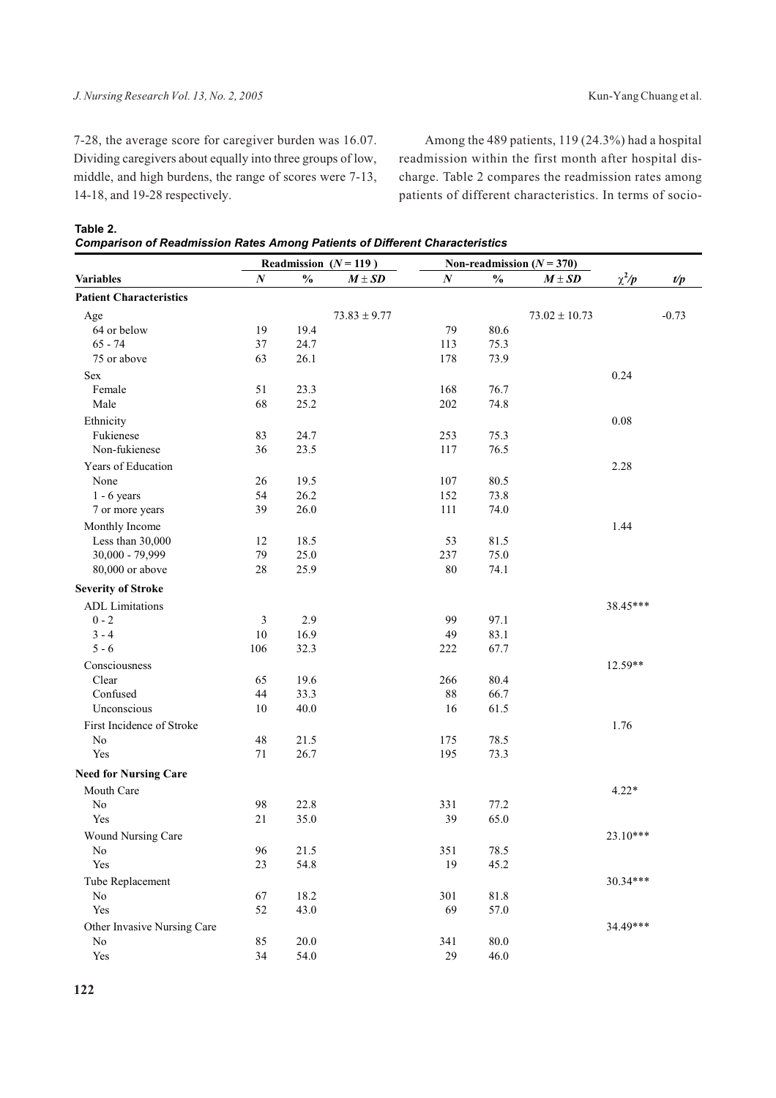7-28, the average score for caregiver burden was 16.07. Dividing caregivers about equally into three groups of low, middle, and high burdens, the range of scores were 7-13, 14-18, and 19-28 respectively.

Among the 489 patients, 119 (24.3%) had a hospital readmission within the first month after hospital discharge. Table 2 compares the readmission rates among patients of different characteristics. In terms of socio-

**Table 2.**

| <b>Comparison of Readmission Rates Among Patients of Different Characteristics</b> |  |  |
|------------------------------------------------------------------------------------|--|--|
|------------------------------------------------------------------------------------|--|--|

|                                | Readmission $(N = 119)$ |               | Non-readmission $(N = 370)$ |                  |               |                   |            |         |
|--------------------------------|-------------------------|---------------|-----------------------------|------------------|---------------|-------------------|------------|---------|
| <b>Variables</b>               | $\boldsymbol{N}$        | $\frac{0}{0}$ | $M \pm SD$                  | $\boldsymbol{N}$ | $\frac{0}{0}$ | $M \pm SD$        | $\chi^2/p$ | t/p     |
| <b>Patient Characteristics</b> |                         |               |                             |                  |               |                   |            |         |
| Age                            |                         |               | $73.83 \pm 9.77$            |                  |               | $73.02 \pm 10.73$ |            | $-0.73$ |
| 64 or below                    | 19                      | 19.4          |                             | 79               | 80.6          |                   |            |         |
| $65 - 74$                      | 37                      | 24.7          |                             | 113              | 75.3          |                   |            |         |
| 75 or above                    | 63                      | 26.1          |                             | 178              | 73.9          |                   |            |         |
| Sex                            |                         |               |                             |                  |               |                   | 0.24       |         |
| Female                         | 51                      | 23.3          |                             | 168              | 76.7          |                   |            |         |
| Male                           | 68                      | 25.2          |                             | 202              | 74.8          |                   |            |         |
| Ethnicity                      |                         |               |                             |                  |               |                   | $0.08\,$   |         |
| Fukienese                      | 83                      | 24.7          |                             | 253              | 75.3          |                   |            |         |
| Non-fukienese                  | 36                      | 23.5          |                             | 117              | 76.5          |                   |            |         |
| Years of Education             |                         |               |                             |                  |               |                   | 2.28       |         |
| None                           | 26                      | 19.5          |                             | 107              | 80.5          |                   |            |         |
| $1 - 6$ years                  | 54                      | 26.2          |                             | 152              | 73.8          |                   |            |         |
| 7 or more years                | 39                      | 26.0          |                             | 111              | 74.0          |                   |            |         |
| Monthly Income                 |                         |               |                             |                  |               |                   | 1.44       |         |
| Less than 30,000               | 12                      | 18.5          |                             | 53               | 81.5          |                   |            |         |
| 30,000 - 79,999                | 79                      | 25.0          |                             | 237              | 75.0          |                   |            |         |
| 80,000 or above                | $28\,$                  | 25.9          |                             | 80               | 74.1          |                   |            |         |
| <b>Severity of Stroke</b>      |                         |               |                             |                  |               |                   |            |         |
| <b>ADL</b> Limitations         |                         |               |                             |                  |               |                   | 38.45***   |         |
| $0 - 2$                        | 3                       | 2.9           |                             | 99               | 97.1          |                   |            |         |
| $3 - 4$                        | 10                      | 16.9          |                             | 49               | 83.1          |                   |            |         |
| $5 - 6$                        | 106                     | 32.3          |                             | 222              | 67.7          |                   |            |         |
| Consciousness                  |                         |               |                             |                  |               |                   | $12.59**$  |         |
| Clear                          | 65                      | 19.6          |                             | 266              | 80.4          |                   |            |         |
| Confused                       | $44\,$                  | 33.3          |                             | 88               | 66.7          |                   |            |         |
| Unconscious                    | 10                      | 40.0          |                             | 16               | 61.5          |                   |            |         |
| First Incidence of Stroke      |                         |               |                             |                  |               |                   | 1.76       |         |
| $\rm No$                       | $48\,$                  | 21.5          |                             | 175              | 78.5          |                   |            |         |
| Yes                            | $71\,$                  | 26.7          |                             | 195              | 73.3          |                   |            |         |
| <b>Need for Nursing Care</b>   |                         |               |                             |                  |               |                   |            |         |
| Mouth Care                     |                         |               |                             |                  |               |                   | $4.22*$    |         |
| No                             | 98                      | 22.8          |                             | 331              | 77.2          |                   |            |         |
| Yes                            | 21                      | 35.0          |                             | 39               | 65.0          |                   |            |         |
| Wound Nursing Care             |                         |               |                             |                  |               |                   | $23.10***$ |         |
| N <sub>0</sub>                 | 96                      | 21.5          |                             | 351              | 78.5          |                   |            |         |
| Yes                            | 23                      | 54.8          |                             | 19               | 45.2          |                   |            |         |
| Tube Replacement               |                         |               |                             |                  |               |                   | 30.34***   |         |
| $\rm No$                       | 67                      | 18.2          |                             | 301              | 81.8          |                   |            |         |
| Yes                            | 52                      | 43.0          |                             | 69               | 57.0          |                   |            |         |
| Other Invasive Nursing Care    |                         |               |                             |                  |               |                   | 34.49***   |         |
| No                             | 85                      | 20.0          |                             | 341              | $80.0\,$      |                   |            |         |
| Yes                            | 34                      | 54.0          |                             | 29               | 46.0          |                   |            |         |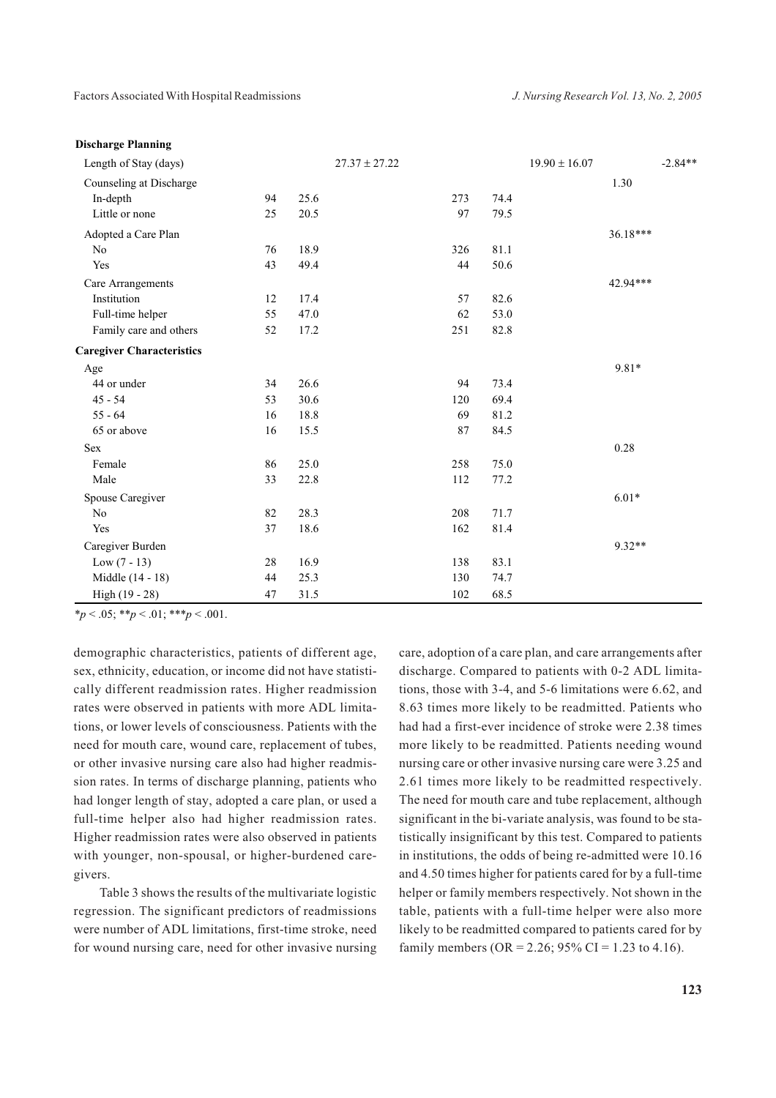Factors AssociatedWith Hospital Readmissions *J. Nursing Research Vol. 13, No. 2, 2005*

**Discharge Planning**

|    |      |                   |                                                                           | $19.90 \pm 16.07$ |          | $-2.84**$ |
|----|------|-------------------|---------------------------------------------------------------------------|-------------------|----------|-----------|
|    |      |                   |                                                                           |                   | 1.30     |           |
| 94 | 25.6 |                   | 74.4                                                                      |                   |          |           |
| 25 | 20.5 | 97                | 79.5                                                                      |                   |          |           |
|    |      |                   |                                                                           |                   | 36.18*** |           |
| 76 | 18.9 |                   | 81.1                                                                      |                   |          |           |
| 43 | 49.4 | 44                | 50.6                                                                      |                   |          |           |
|    |      |                   |                                                                           |                   | 42.94*** |           |
| 12 | 17.4 | 57                | 82.6                                                                      |                   |          |           |
| 55 | 47.0 | 62                | 53.0                                                                      |                   |          |           |
| 52 | 17.2 |                   | 82.8                                                                      |                   |          |           |
|    |      |                   |                                                                           |                   |          |           |
|    |      |                   |                                                                           |                   | $9.81*$  |           |
| 34 | 26.6 | 94                | 73.4                                                                      |                   |          |           |
| 53 | 30.6 |                   | 69.4                                                                      |                   |          |           |
| 16 | 18.8 | 69                | 81.2                                                                      |                   |          |           |
| 16 | 15.5 | 87                | 84.5                                                                      |                   |          |           |
|    |      |                   |                                                                           |                   | 0.28     |           |
| 86 | 25.0 |                   | 75.0                                                                      |                   |          |           |
| 33 | 22.8 |                   | 77.2                                                                      |                   |          |           |
|    |      |                   |                                                                           |                   | $6.01*$  |           |
| 82 | 28.3 |                   | 71.7                                                                      |                   |          |           |
| 37 | 18.6 |                   | 81.4                                                                      |                   |          |           |
|    |      |                   |                                                                           |                   | 9.32**   |           |
| 28 | 16.9 |                   | 83.1                                                                      |                   |          |           |
| 44 | 25.3 |                   | 74.7                                                                      |                   |          |           |
| 47 | 31.5 |                   | 68.5                                                                      |                   |          |           |
|    |      | $27.37 \pm 27.22$ | 273<br>326<br>251<br>120<br>258<br>112<br>208<br>162<br>138<br>130<br>102 |                   |          |           |

 $*_{p}$  < .05; \*\**p* < .01; \*\*\**p* < .001.

demographic characteristics, patients of different age, sex, ethnicity, education, or income did not have statistically different readmission rates. Higher readmission rates were observed in patients with more ADL limitations, or lower levels of consciousness. Patients with the need for mouth care, wound care, replacement of tubes, or other invasive nursing care also had higher readmission rates. In terms of discharge planning, patients who had longer length of stay, adopted a care plan, or used a full-time helper also had higher readmission rates. Higher readmission rates were also observed in patients with younger, non-spousal, or higher-burdened caregivers.

Table 3 shows the results of the multivariate logistic regression. The significant predictors of readmissions were number of ADL limitations, first-time stroke, need for wound nursing care, need for other invasive nursing care, adoption of a care plan, and care arrangements after discharge. Compared to patients with 0-2 ADL limitations, those with 3-4, and 5-6 limitations were 6.62, and 8.63 times more likely to be readmitted. Patients who had had a first-ever incidence of stroke were 2.38 times more likely to be readmitted. Patients needing wound nursing care or other invasive nursing care were 3.25 and 2.61 times more likely to be readmitted respectively. The need for mouth care and tube replacement, although significant in the bi-variate analysis, was found to be statistically insignificant by this test. Compared to patients in institutions, the odds of being re-admitted were 10.16 and 4.50 times higher for patients cared for by a full-time helper or family members respectively. Not shown in the table, patients with a full-time helper were also more likely to be readmitted compared to patients cared for by family members (OR = 2.26; 95% CI = 1.23 to 4.16).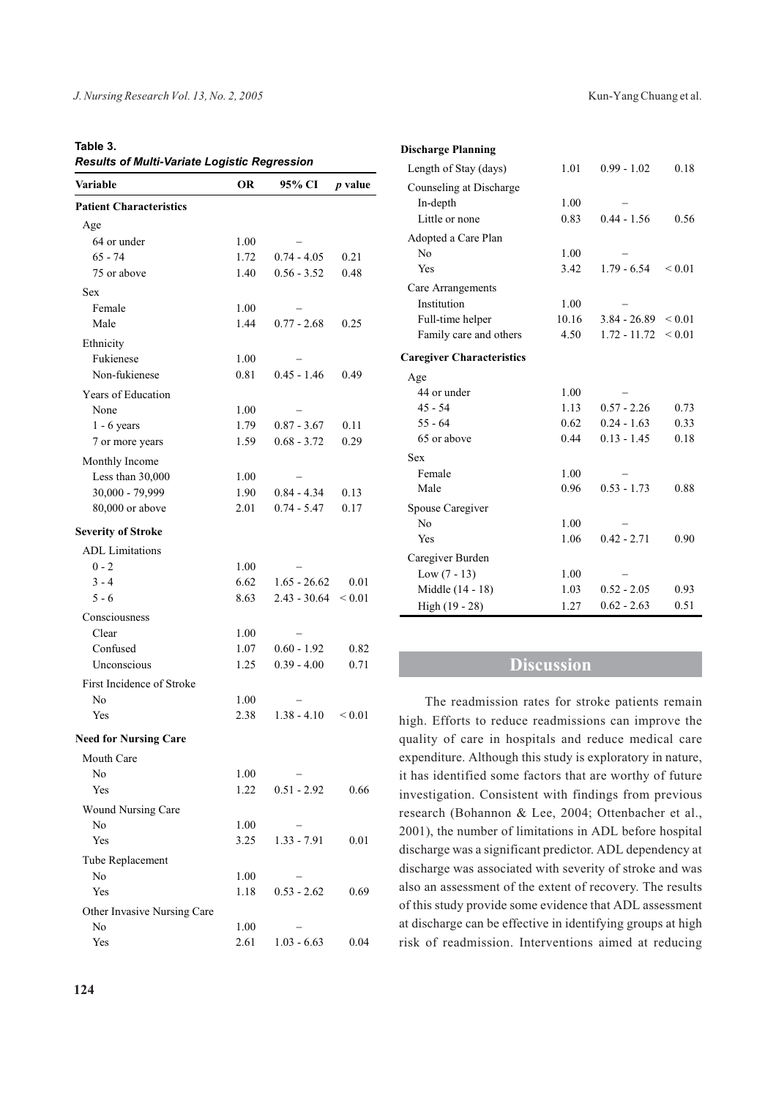#### **Table 3.**

*Results of Multi-Variate Logistic Regression*

| Variable                       | <b>OR</b> | 95% CI         | <i>p</i> value   |
|--------------------------------|-----------|----------------|------------------|
| <b>Patient Characteristics</b> |           |                |                  |
| Age                            |           |                |                  |
| 64 or under                    | 1.00      |                |                  |
| $65 - 74$                      | 1.72      | $0.74 - 4.05$  | 0.21             |
| 75 or above                    | 1.40      | $0.56 - 3.52$  | 0.48             |
| Sex                            |           |                |                  |
| Female                         | 1.00      |                |                  |
| Male                           | 1.44      | $0.77 - 2.68$  | 0.25             |
| Ethnicity                      |           |                |                  |
| Fukienese                      | 1.00      |                |                  |
| Non-fukienese                  | 0.81      | $0.45 - 1.46$  | 0.49             |
| Years of Education             |           |                |                  |
| None                           | 1.00      |                |                  |
| $1 - 6$ years                  | 1.79      | $0.87 - 3.67$  | 0.11             |
| 7 or more years                | 1.59      | $0.68 - 3.72$  | 0.29             |
| Monthly Income                 |           |                |                  |
| Less than 30,000               | 1.00      |                |                  |
| 30,000 - 79,999                | 1.90      | $0.84 - 4.34$  | 0.13             |
| 80,000 or above                | 2.01      | $0.74 - 5.47$  | 0.17             |
| <b>Severity of Stroke</b>      |           |                |                  |
| <b>ADL</b> Limitations         |           |                |                  |
| $0 - 2$                        | 1.00      |                |                  |
| $3 - 4$                        | 6.62      | 1.65 - 26.62   | 0.01             |
| $5 - 6$                        | 8.63      | $2.43 - 30.64$ | ${}_{0.01}$      |
| Consciousness                  |           |                |                  |
| Clear                          | 1.00      |                |                  |
| Confused                       | 1.07      | $0.60 - 1.92$  | 0.82             |
| Unconscious                    | 1.25      | $0.39 - 4.00$  | 0.71             |
| First Incidence of Stroke      |           |                |                  |
| No                             | 1.00      |                |                  |
| Yes                            | 2.38      | $1.38 - 4.10$  | ${}_{\leq 0.01}$ |
| <b>Need for Nursing Care</b>   |           |                |                  |
| Mouth Care                     |           |                |                  |
| No                             | 1.00      |                |                  |
| Yes                            | 1.22      | $0.51 - 2.92$  | 0.66             |
| Wound Nursing Care             |           |                |                  |
| No                             | 1.00      |                |                  |
| Yes                            | 3.25      | $1.33 - 7.91$  | 0.01             |
| Tube Replacement               |           |                |                  |
| N <sub>0</sub>                 | 1.00      |                |                  |
| Yes                            | 1.18      | $0.53 - 2.62$  | 0.69             |
| Other Invasive Nursing Care    |           |                |                  |
| No                             | 1.00      |                |                  |
| Yes                            | 2.61      | $1.03 - 6.63$  | 0.04             |
|                                |           |                |                  |

#### **Discharge Planning**

| Length of Stay (days)            | 1.01  | $0.99 - 1.02$           | 0.18        |
|----------------------------------|-------|-------------------------|-------------|
| Counseling at Discharge          |       |                         |             |
| In-depth                         | 1.00  |                         |             |
| Little or none                   | 0.83  | $0.44 - 1.56$           | 0.56        |
| Adopted a Care Plan              |       |                         |             |
| N <sub>0</sub>                   | 1.00  |                         |             |
| Yes                              | 3.42  | $1.79 - 6.54$           | ${}_{0.01}$ |
| Care Arrangements                |       |                         |             |
| Institution                      | 1.00  |                         |             |
| Full-time helper                 | 10.16 | $3.84 - 26.89 \le 0.01$ |             |
| Family care and others           | 4.50  | $1.72 - 11.72$          | ${}_{0.01}$ |
| <b>Caregiver Characteristics</b> |       |                         |             |
| Age                              |       |                         |             |
| 44 or under                      | 1.00  |                         |             |
| $45 - 54$                        | 1.13  | $0.57 - 2.26$           | 0.73        |
| $55 - 64$                        | 0.62  | $0.24 - 1.63$           | 0.33        |
| 65 or above                      | 0.44  | $0.13 - 1.45$           | 0.18        |
| <b>Sex</b>                       |       |                         |             |
| Female                           | 1.00  |                         |             |
| Male                             | 0.96  | $0.53 - 1.73$           | 0.88        |
| Spouse Caregiver                 |       |                         |             |
| No                               | 1.00  |                         |             |
| Yes                              | 1.06  | $0.42 - 2.71$           | 0.90        |
| Caregiver Burden                 |       |                         |             |
| Low $(7 - 13)$                   | 1.00  |                         |             |
| Middle (14 - 18)                 | 1.03  | $0.52 - 2.05$           | 0.93        |
| High (19 - 28)                   | 1.27  | $0.62 - 2.63$           | 0.51        |

# **Discussion**

The readmission rates for stroke patients remain high. Efforts to reduce readmissions can improve the quality of care in hospitals and reduce medical care expenditure. Although this study is exploratory in nature, it has identified some factors that are worthy of future investigation. Consistent with findings from previous research (Bohannon & Lee, 2004; Ottenbacher et al., 2001), the number of limitations in ADL before hospital discharge was a significant predictor. ADL dependency at discharge was associated with severity of stroke and was also an assessment of the extent of recovery. The results of this study provide some evidence that ADL assessment at discharge can be effective in identifying groups at high risk of readmission. Interventions aimed at reducing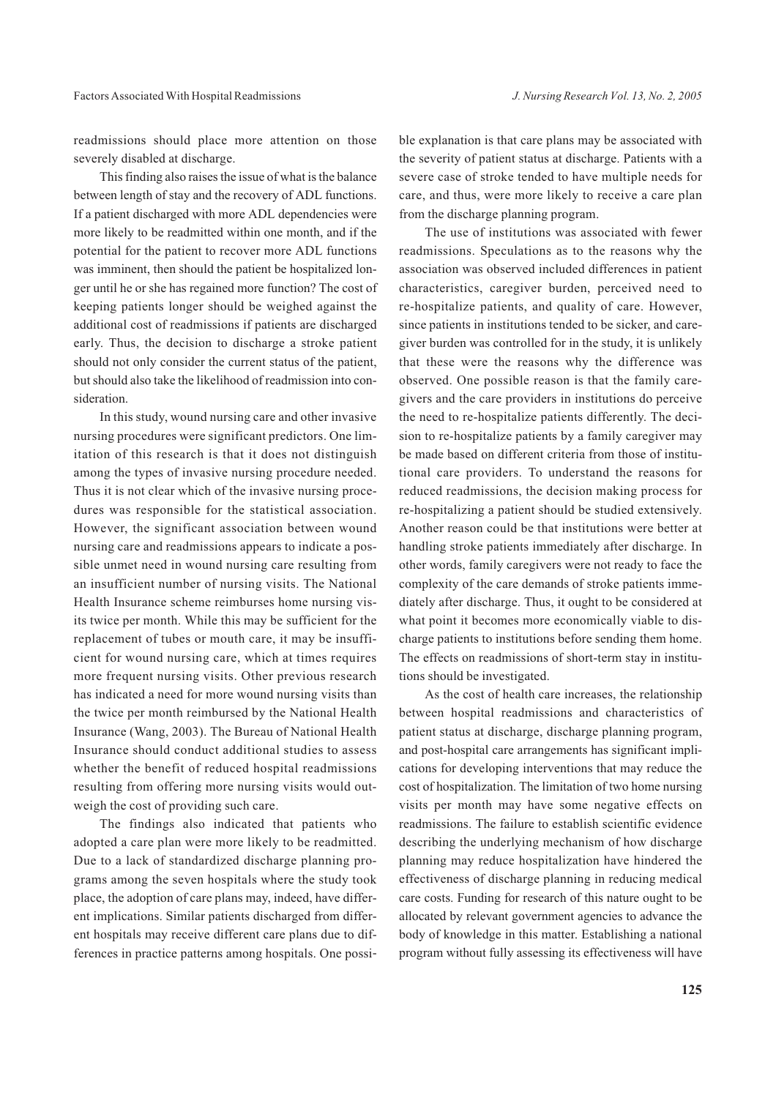readmissions should place more attention on those severely disabled at discharge.

This finding also raises the issue of what is the balance between length of stay and the recovery of ADL functions. If a patient discharged with more ADL dependencies were more likely to be readmitted within one month, and if the potential for the patient to recover more ADL functions was imminent, then should the patient be hospitalized longer until he or she has regained more function? The cost of keeping patients longer should be weighed against the additional cost of readmissions if patients are discharged early. Thus, the decision to discharge a stroke patient should not only consider the current status of the patient, but should also take the likelihood of readmission into consideration.

In this study, wound nursing care and other invasive nursing procedures were significant predictors. One limitation of this research is that it does not distinguish among the types of invasive nursing procedure needed. Thus it is not clear which of the invasive nursing procedures was responsible for the statistical association. However, the significant association between wound nursing care and readmissions appears to indicate a possible unmet need in wound nursing care resulting from an insufficient number of nursing visits. The National Health Insurance scheme reimburses home nursing visits twice per month. While this may be sufficient for the replacement of tubes or mouth care, it may be insufficient for wound nursing care, which at times requires more frequent nursing visits. Other previous research has indicated a need for more wound nursing visits than the twice per month reimbursed by the National Health Insurance (Wang, 2003). The Bureau of National Health Insurance should conduct additional studies to assess whether the benefit of reduced hospital readmissions resulting from offering more nursing visits would outweigh the cost of providing such care.

The findings also indicated that patients who adopted a care plan were more likely to be readmitted. Due to a lack of standardized discharge planning programs among the seven hospitals where the study took place, the adoption of care plans may, indeed, have different implications. Similar patients discharged from different hospitals may receive different care plans due to differences in practice patterns among hospitals. One possible explanation is that care plans may be associated with the severity of patient status at discharge. Patients with a severe case of stroke tended to have multiple needs for care, and thus, were more likely to receive a care plan from the discharge planning program.

The use of institutions was associated with fewer readmissions. Speculations as to the reasons why the association was observed included differences in patient characteristics, caregiver burden, perceived need to re-hospitalize patients, and quality of care. However, since patients in institutions tended to be sicker, and caregiver burden was controlled for in the study, it is unlikely that these were the reasons why the difference was observed. One possible reason is that the family caregivers and the care providers in institutions do perceive the need to re-hospitalize patients differently. The decision to re-hospitalize patients by a family caregiver may be made based on different criteria from those of institutional care providers. To understand the reasons for reduced readmissions, the decision making process for re-hospitalizing a patient should be studied extensively. Another reason could be that institutions were better at handling stroke patients immediately after discharge. In other words, family caregivers were not ready to face the complexity of the care demands of stroke patients immediately after discharge. Thus, it ought to be considered at what point it becomes more economically viable to discharge patients to institutions before sending them home. The effects on readmissions of short-term stay in institutions should be investigated.

As the cost of health care increases, the relationship between hospital readmissions and characteristics of patient status at discharge, discharge planning program, and post-hospital care arrangements has significant implications for developing interventions that may reduce the cost of hospitalization. The limitation of two home nursing visits per month may have some negative effects on readmissions. The failure to establish scientific evidence describing the underlying mechanism of how discharge planning may reduce hospitalization have hindered the effectiveness of discharge planning in reducing medical care costs. Funding for research of this nature ought to be allocated by relevant government agencies to advance the body of knowledge in this matter. Establishing a national program without fully assessing its effectiveness will have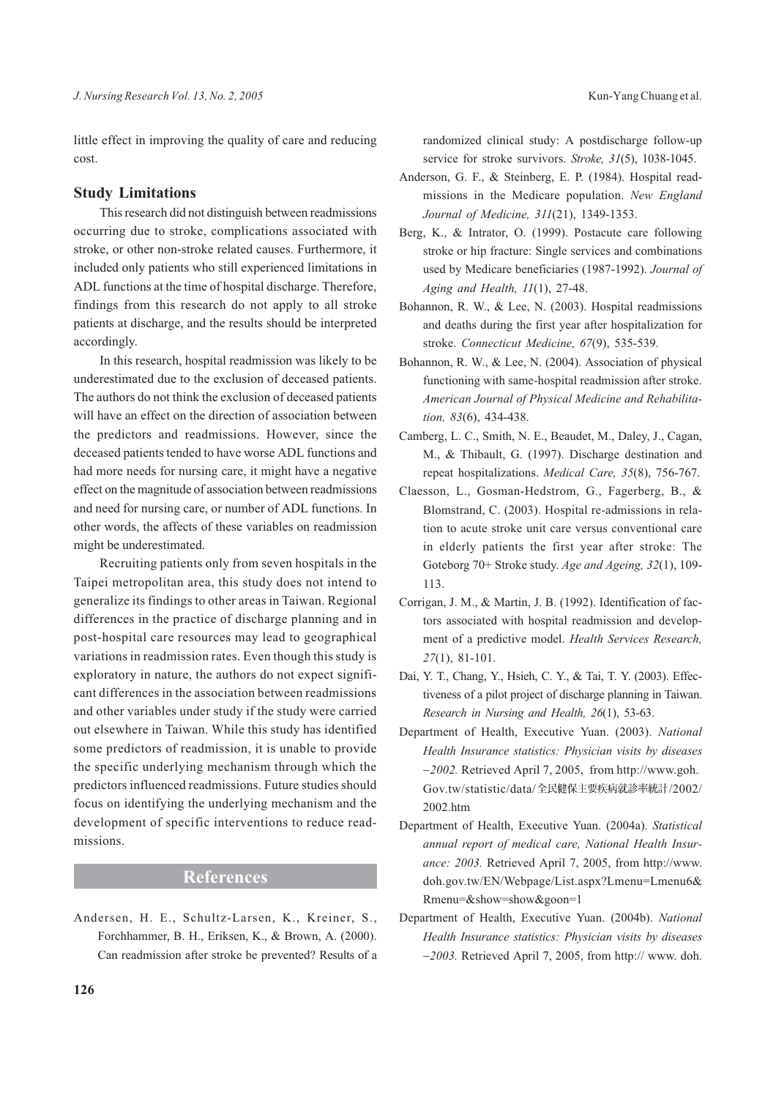little effect in improving the quality of care and reducing cost.

## **Study Limitations**

This research did not distinguish between readmissions occurring due to stroke, complications associated with stroke, or other non-stroke related causes. Furthermore, it included only patients who still experienced limitations in ADL functions at the time of hospital discharge. Therefore, findings from this research do not apply to all stroke patients at discharge, and the results should be interpreted accordingly.

In this research, hospital readmission was likely to be underestimated due to the exclusion of deceased patients. The authors do not think the exclusion of deceased patients will have an effect on the direction of association between the predictors and readmissions. However, since the deceased patients tended to have worse ADL functions and had more needs for nursing care, it might have a negative effect on the magnitude of association between readmissions and need for nursing care, or number of ADL functions. In other words, the affects of these variables on readmission might be underestimated.

Recruiting patients only from seven hospitals in the Taipei metropolitan area, this study does not intend to generalize its findings to other areas in Taiwan. Regional differences in the practice of discharge planning and in post-hospital care resources may lead to geographical variations in readmission rates. Even though this study is exploratory in nature, the authors do not expect significant differences in the association between readmissions and other variables under study if the study were carried out elsewhere in Taiwan. While this study has identified some predictors of readmission, it is unable to provide the specific underlying mechanism through which the predictors influenced readmissions. Future studies should focus on identifying the underlying mechanism and the development of specific interventions to reduce readmissions.

# **References**

Andersen, H. E., Schultz-Larsen, K., Kreiner, S., Forchhammer, B. H., Eriksen, K., & Brown, A. (2000). Can readmission after stroke be prevented? Results of a randomized clinical study: A postdischarge follow-up service for stroke survivors. *Stroke, 31*(5), 1038-1045.

- Anderson, G. F., & Steinberg, E. P. (1984). Hospital readmissions in the Medicare population. *New England Journal of Medicine, 311*(21), 1349-1353.
- Berg, K., & Intrator, O. (1999). Postacute care following stroke or hip fracture: Single services and combinations used by Medicare beneficiaries (1987-1992). *Journal of Aging and Health, 11*(1), 27-48.
- Bohannon, R. W., & Lee, N. (2003). Hospital readmissions and deaths during the first year after hospitalization for stroke. *Connecticut Medicine, 67*(9), 535-539.
- Bohannon, R. W., & Lee, N. (2004). Association of physical functioning with same-hospital readmission after stroke. *American Journal of Physical Medicine and Rehabilitation, 83*(6), 434-438.
- Camberg, L. C., Smith, N. E., Beaudet, M., Daley, J., Cagan, M., & Thibault, G. (1997). Discharge destination and repeat hospitalizations. *Medical Care, 35*(8), 756-767.
- Claesson, L., Gosman-Hedstrom, G., Fagerberg, B., & Blomstrand, C. (2003). Hospital re-admissions in relation to acute stroke unit care versus conventional care in elderly patients the first year after stroke: The Goteborg 70+ Stroke study. *Age and Ageing, 32*(1), 109- 113.
- Corrigan, J. M., & Martin, J. B. (1992). Identification of factors associated with hospital readmission and development of a predictive model. *Health Services Research, 27*(1), 81-101.
- Dai, Y. T., Chang, Y., Hsieh, C. Y., & Tai, T. Y. (2003). Effectiveness of a pilot project of discharge planning in Taiwan. *Research in Nursing and Health, 26*(1), 53-63.
- Department of Health, Executive Yuan. (2003). *National Health Insurance statistics: Physician visits by diseases 2002.* Retrieved April 7, 2005, from http://www.goh. Gov.tw/statistic/data/全民健保主要疾病就診率統計/2002/ 2002.htm
- Department of Health, Executive Yuan. (2004a). *Statistical annual report of medical care, National Health Insurance: 2003.* Retrieved April 7, 2005, from http://www. doh.gov.tw/EN/Webpage/List.aspx?Lmenu=Lmenu6& Rmenu=&show=show&goon=1
- Department of Health, Executive Yuan. (2004b). *National Health Insurance statistics: Physician visits by diseases 2003.* Retrieved April 7, 2005, from http:// www. doh.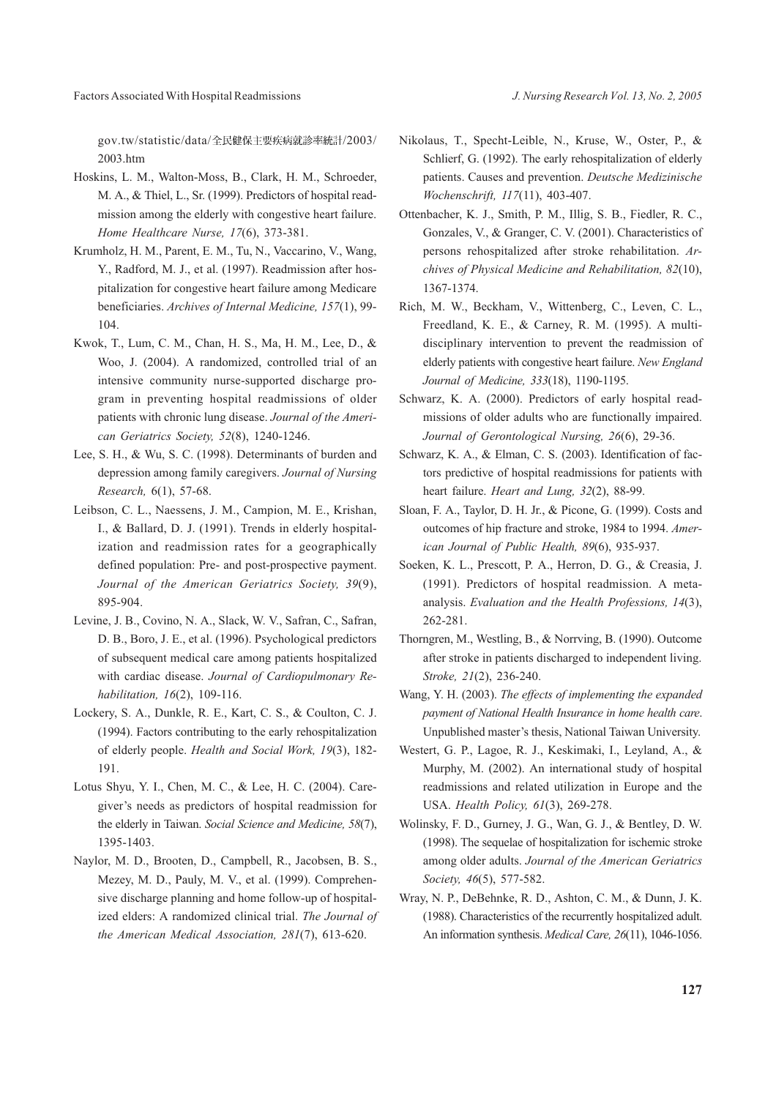gov.tw/statistic/data/全民健保主要疾病就診率統計/2003/ 2003.htm

- Hoskins, L. M., Walton-Moss, B., Clark, H. M., Schroeder, M. A., & Thiel, L., Sr. (1999). Predictors of hospital readmission among the elderly with congestive heart failure. *Home Healthcare Nurse, 17*(6), 373-381.
- Krumholz, H. M., Parent, E. M., Tu, N., Vaccarino, V., Wang, Y., Radford, M. J., et al. (1997). Readmission after hospitalization for congestive heart failure among Medicare beneficiaries. *Archives of Internal Medicine, 157*(1), 99- 104.
- Kwok, T., Lum, C. M., Chan, H. S., Ma, H. M., Lee, D., & Woo, J. (2004). A randomized, controlled trial of an intensive community nurse-supported discharge program in preventing hospital readmissions of older patients with chronic lung disease. *Journal of the American Geriatrics Society, 52*(8), 1240-1246.
- Lee, S. H., & Wu, S. C. (1998). Determinants of burden and depression among family caregivers. *Journal of Nursing Research,* 6(1), 57-68.
- Leibson, C. L., Naessens, J. M., Campion, M. E., Krishan, I., & Ballard, D. J. (1991). Trends in elderly hospitalization and readmission rates for a geographically defined population: Pre- and post-prospective payment. *Journal of the American Geriatrics Society, 39*(9), 895-904.
- Levine, J. B., Covino, N. A., Slack, W. V., Safran, C., Safran, D. B., Boro, J. E., et al. (1996). Psychological predictors of subsequent medical care among patients hospitalized with cardiac disease. *Journal of Cardiopulmonary Rehabilitation, 16*(2), 109-116.
- Lockery, S. A., Dunkle, R. E., Kart, C. S., & Coulton, C. J. (1994). Factors contributing to the early rehospitalization of elderly people. *Health and Social Work, 19*(3), 182- 191.
- Lotus Shyu, Y. I., Chen, M. C., & Lee, H. C. (2004). Caregiver's needs as predictors of hospital readmission for the elderly in Taiwan. *Social Science and Medicine, 58*(7), 1395-1403.
- Naylor, M. D., Brooten, D., Campbell, R., Jacobsen, B. S., Mezey, M. D., Pauly, M. V., et al. (1999). Comprehensive discharge planning and home follow-up of hospitalized elders: A randomized clinical trial. *The Journal of the American Medical Association, 281*(7), 613-620.
- Nikolaus, T., Specht-Leible, N., Kruse, W., Oster, P., & Schlierf, G. (1992). The early rehospitalization of elderly patients. Causes and prevention. *Deutsche Medizinische Wochenschrift, 117*(11), 403-407.
- Ottenbacher, K. J., Smith, P. M., Illig, S. B., Fiedler, R. C., Gonzales, V., & Granger, C. V. (2001). Characteristics of persons rehospitalized after stroke rehabilitation. *Archives of Physical Medicine and Rehabilitation, 82*(10), 1367-1374.
- Rich, M. W., Beckham, V., Wittenberg, C., Leven, C. L., Freedland, K. E., & Carney, R. M. (1995). A multidisciplinary intervention to prevent the readmission of elderly patients with congestive heart failure. *New England Journal of Medicine, 333*(18), 1190-1195.
- Schwarz, K. A. (2000). Predictors of early hospital readmissions of older adults who are functionally impaired. *Journal of Gerontological Nursing, 26*(6), 29-36.
- Schwarz, K. A., & Elman, C. S. (2003). Identification of factors predictive of hospital readmissions for patients with heart failure. *Heart and Lung, 32*(2), 88-99.
- Sloan, F. A., Taylor, D. H. Jr., & Picone, G. (1999). Costs and outcomes of hip fracture and stroke, 1984 to 1994. *American Journal of Public Health, 89*(6), 935-937.
- Soeken, K. L., Prescott, P. A., Herron, D. G., & Creasia, J. (1991). Predictors of hospital readmission. A metaanalysis. *Evaluation and the Health Professions, 14*(3), 262-281.
- Thorngren, M., Westling, B., & Norrving, B. (1990). Outcome after stroke in patients discharged to independent living. *Stroke, 21*(2), 236-240.
- Wang, Y. H. (2003). *The effects of implementing the expanded payment of National Health Insurance in home health care*. Unpublished master's thesis, National Taiwan University.
- Westert, G. P., Lagoe, R. J., Keskimaki, I., Leyland, A., & Murphy, M. (2002). An international study of hospital readmissions and related utilization in Europe and the USA. *Health Policy, 61*(3), 269-278.
- Wolinsky, F. D., Gurney, J. G., Wan, G. J., & Bentley, D. W. (1998). The sequelae of hospitalization for ischemic stroke among older adults. *Journal of the American Geriatrics Society, 46*(5), 577-582.
- Wray, N. P., DeBehnke, R. D., Ashton, C. M., & Dunn, J. K. (1988). Characteristics of the recurrently hospitalized adult. An information synthesis. *Medical Care, 26*(11), 1046-1056.